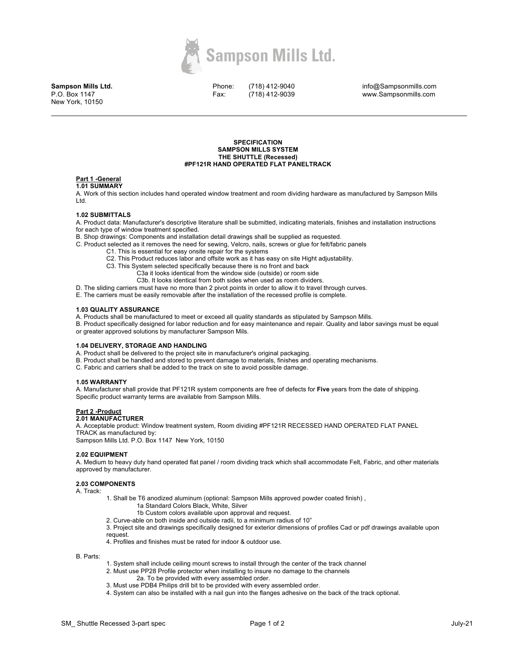

**Sampson Mills Ltd.** P.O. Box 1147 New York, 10150

Phone: Fax:

(718) 412-9040 (718) 412-9039

info@Sampsonmills.com www.Sampsonmills.com

#### **SPECIFICATION SAMPSON MILLS SYSTEM THE SHUTTLE (Recessed) #PF121R HAND OPERATED FLAT PANELTRACK**

# **Part 1 -General**

#### **1.01 SUMMARY**

A. Work of this section includes hand operated window treatment and room dividing hardware as manufactured by Sampson Mills Ltd.

#### **1.02 SUBMITTALS**

A. Product data: Manufacturer's descriptive literature shall be submitted, indicating materials, finishes and installation instructions for each type of window treatment specified.

B. Shop drawings: Components and installation detail drawings shall be supplied as requested.

- C. Product selected as it removes the need for sewing, Velcro, nails, screws or glue for felt/fabric panels
	- C1. This is essential for easy onsite repair for the systems
	- C2. This Product reduces labor and offsite work as it has easy on site Hight adjustability.

C3. This System selected specifically because there is no front and back

- C3a it looks identical from the window side (outside) or room side
	- C3b. It looks identical from both sides when used as room dividers.
- D. The sliding carriers must have no more than 2 pivot points in order to allow it to travel through curves.

E. The carriers must be easily removable after the installation of the recessed profile is complete.

### **1.03 QUALITY ASSURANCE**

A. Products shall be manufactured to meet or exceed all quality standards as stipulated by Sampson Mills.

B. Product specifically designed for labor reduction and for easy maintenance and repair. Quality and labor savings must be equal or greater approved solutions by manufacturer Sampson Mils.

#### **1.04 DELIVERY, STORAGE AND HANDLING**

- A. Product shall be delivered to the project site in manufacturer's original packaging.
- B. Product shall be handled and stored to prevent damage to materials, finishes and operating mechanisms.
- C. Fabric and carriers shall be added to the track on site to avoid possible damage.

#### **1.05 WARRANTY**

A. Manufacturer shall provide that PF121R system components are free of defects for **Five** years from the date of shipping. Specific product warranty terms are available from Sampson Mills.

# **Part 2 -Product**

## **2.01 MANUFACTURER**

A. Acceptable product: Window treatment system, Room dividing #PF121R RECESSED HAND OPERATED FLAT PANEL TRACK as manufactured by:

Sampson Mills Ltd. P.O. Box 1147 New York, 10150

#### **2.02 EQUIPMENT**

A. Medium to heavy duty hand operated flat panel / room dividing track which shall accommodate Felt, Fabric, and other materials approved by manufacturer.

### **2.03 COMPONENTS**

A. Track:

- 1. Shall be T6 anodized aluminum (optional: Sampson Mills approved powder coated finish) , 1a Standard Colors Black, White, Silver
	- 1b Custom colors available upon approval and request.
	- 2. Curve-able on both inside and outside radii, to a minimum radius of 10"

3. Project site and drawings specifically designed for exterior dimensions of profiles Cad or pdf drawings available upon request.

4. Profiles and finishes must be rated for indoor & outdoor use.

B. Parts:

- 1. System shall include ceiling mount screws to install through the center of the track channel
- 2. Must use PP28 Profile protector when installing to insure no damage to the channels 2a. To be provided with every assembled order.
- 3. Must use PDB4 Philips drill bit to be provided with every assembled order.
- 4. System can also be installed with a nail gun into the flanges adhesive on the back of the track optional.